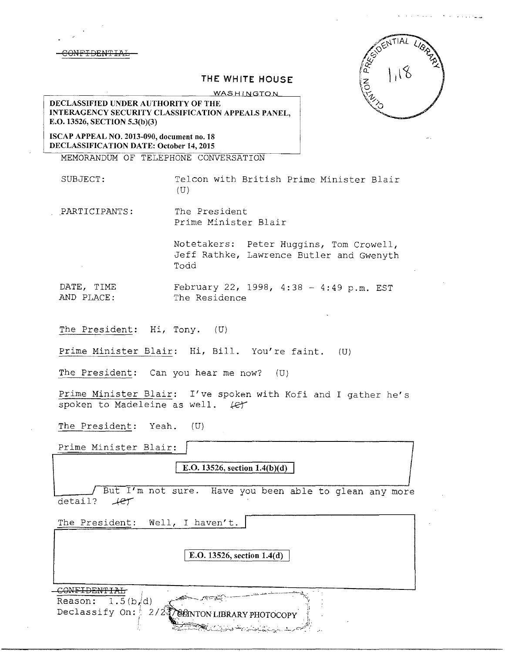

# **THE WHITE HOUSE WASHINGTON**



**DECLASSIFIED UNDER AUTHORITY OF THE JNTERAGENCY SECURITY CLASSIFICATION APPEALS PANEL, E.O. 13526, SECTION 5.3(b)(3)** 

**ISCAP APPEAL NO. 2013-090, document no. 18 DECLASSIFICATION DATE: October 14, 2015** 

MEMORANDUM OF TELEPHONE CONVERSATION

SUBJECT: Telcon with British Prime Minister Blair (U)

PARTICIPANTS: The President Prime Minister Blair

> Notetakers: Peter Huggins, Tom Crowell, Jeff Rathke, Lawrence Butler and Gwenyth Todd

DATE, TIME February 22, 1998, 4:38 - 4:49 p.m. EST<br>AND PLACE: The Residence The Residence

The President: Hi, Tony. (U)

Prime Minister Blair: Hi, Bill. You're faint. (U)

The President: Can you hear me now? (U)

Prime Minister Blair: I've spoken with Kofi and I gather he's spoken to Madeleine as well. (et

The President: Yeah. (U)

Prime Minister Blair:

**E.O. 13526, section 1.4(b)(d)** 

But I'm not sure. Have you been able to glean any more detail? fer

The President: Well, I haven't. **E.O. 13526, section 1.4(d)** CONFIDENTIAL Reason:  $1.5(b/d)$ Declassify On:  $2/2$ **CONTON LIBRARY PHOTOCOPY**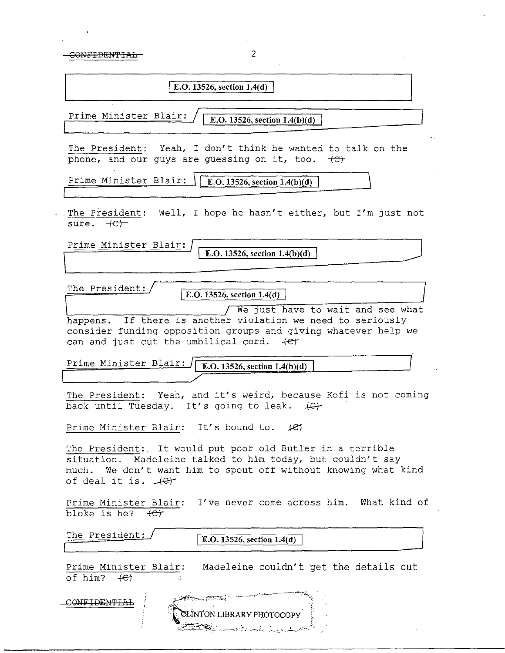$\label{eq:2.1} \frac{1}{\sqrt{2}}\sum_{i=1}^n\frac{1}{\sqrt{2\pi}}\sum_{i=1}^n\frac{1}{\sqrt{2\pi}}\sum_{i=1}^n\frac{1}{\sqrt{2\pi}}\sum_{i=1}^n\frac{1}{\sqrt{2\pi}}\sum_{i=1}^n\frac{1}{\sqrt{2\pi}}\sum_{i=1}^n\frac{1}{\sqrt{2\pi}}\sum_{i=1}^n\frac{1}{\sqrt{2\pi}}\sum_{i=1}^n\frac{1}{\sqrt{2\pi}}\sum_{i=1}^n\frac{1}{\sqrt{2\pi}}\sum_{i=1}^n\frac{$ 

 $\frac{1}{2}$ 

| $\overline{2}$<br><del>NIFIDENTIA</del>                                                                                                                                                                                      |
|------------------------------------------------------------------------------------------------------------------------------------------------------------------------------------------------------------------------------|
| E.O. 13526, section 1.4(d)                                                                                                                                                                                                   |
| Prime Minister Blair:<br>E.O. 13526, section $1.4(b)(d)$                                                                                                                                                                     |
| The President: Yeah, I don't think he wanted to talk on the<br>phone, and our guys are guessing on it, too. $\leftarrow$                                                                                                     |
| Prime Minister Blair:<br>  E.O. 13526, section 1.4(b)(d)                                                                                                                                                                     |
| The President: Well, I hope he hasn't either, but I'm just not<br>sure. <del>(C)</del>                                                                                                                                       |
| Prime Minister Blair:<br>E.O. 13526, section $1.4(b)(d)$                                                                                                                                                                     |
|                                                                                                                                                                                                                              |
| The President:<br>E.O. 13526, section $1.4(d)$                                                                                                                                                                               |
| We just have to wait and see what<br>happens. If there is another violation we need to seriously<br>consider funding opposition groups and giving whatever help we<br>can and just cut the umbilical cord. +et               |
| Prime Minister Blair:<br>E.O. 13526, section $1.4(b)(d)$                                                                                                                                                                     |
| The President: Yeah, and it's weird, because Kofi is not coming<br>back until Tuesday. It's going to leak. $\downarrow \mathbb{G}$                                                                                           |
| Prime Minister Blair: It's bound to. 127                                                                                                                                                                                     |
| The President: It would put poor old Butler in a terrible<br>situation. Madeleine talked to him today, but couldn't say<br>much. We don't want him to spout off without knowing what kind<br>of deal it is. $\mathcal{A}$ et |
| Prime Minister Blair: I've never come across him. What kind of<br>bloke is he? $\leftarrow$                                                                                                                                  |
| The President:<br>E.O. 13526, section 1.4(d)                                                                                                                                                                                 |
| Madeleine couldn't get the details out<br>Prime Minister Blair:<br>of him? $\leftarrow$                                                                                                                                      |
| CONFIDENTI<br>CLINTON LIBRARY PHOTOCOPY<br>للاستشعارها والمستط                                                                                                                                                               |

 $\mathcal{A}^{\mathcal{A}}$ 

 $\hat{z} = \hat{z}$ 

 $\sim$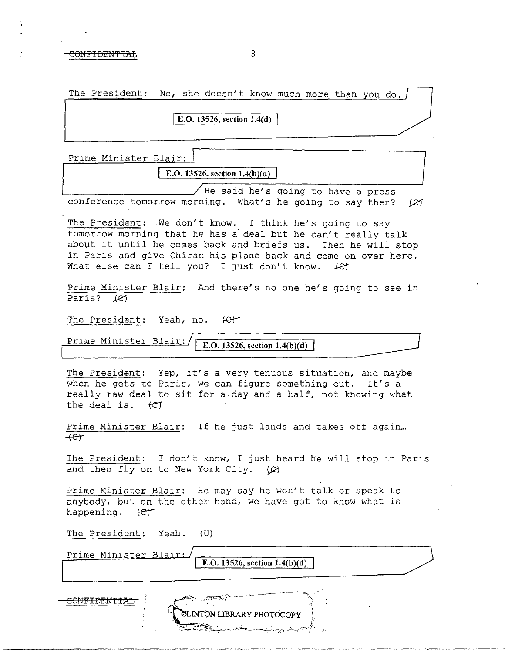### NFIDENTIAL 3

| The President: No, she doesn't know much more than you do. / |  |  |  |  |  |
|--------------------------------------------------------------|--|--|--|--|--|
|                                                              |  |  |  |  |  |

## [ **E.O. 13526, section l.4(d)**

Prime Minister Blair:

 $E. O. 13526, section 1.4(b)(d)$ 

 $\sqrt{}$  He said he's going to have a press conference tomorrow morning. What's he going to say then?  $|Rf|$ 

The President: We don't know. I think he's going to say tomorrow morning that he has a· deal but he can't really talk about it until he comes back and briefs us. Then he will stop in Paris and give Chirac his plane back and come on over here. What else can I tell you? I just don't know.  $\left\{ \mathcal{C} \right\}$ 

Prime Minister Blair: And there's no one he's going to see in Paris? 1et

The President: Yeah, no.  $\ell$ e $\uparrow$ 

Prime Minister Blair: **IE.O.** 13526, section 1.4(b)(d)

The President: Yep, it's a very tenuous situation, and maybe when he gets to Paris, we can figure something out. It's a really raw deal to sit for a day and a half, not knowing what the deal *is* . fCT

Prime Minister Blair: If he just lands and takes off again...  $+e$  $+$ 

The President: I don't know, I just heard he will stop in Paris and then fly on to New York City.  $\varphi$ 

Prime Minister Blair: He may say he won't talk or speak to anybody, but on the other hand, we have got to know what is happening.  $\text{er}$ 

The President: Yeah. (U)

| Prime Minister Blair: | E.O. 13526, section $1.4(b)(d)$                                                                  |  |
|-----------------------|--------------------------------------------------------------------------------------------------|--|
|                       | <b>SARA STARA COMPOSITION</b><br>CLINTON LIBRARY PHOTOCOPY<br><u> The College State (Algebra</u> |  |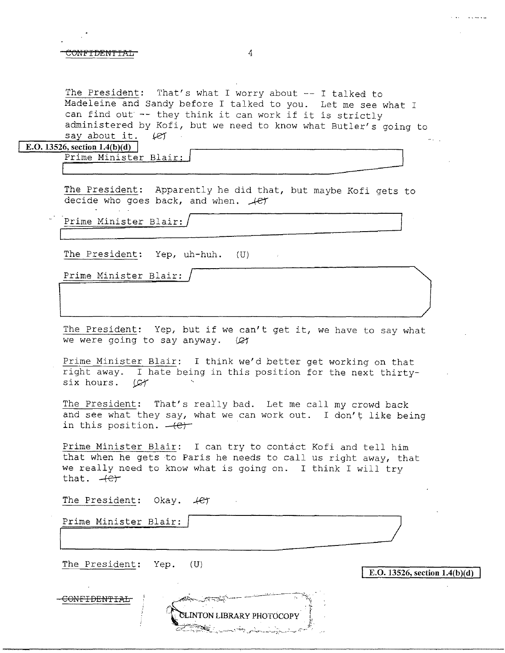### essential and the entire of the entire of the entire of the entire of the entire of the entire of the entire o

The President: That's what I worry about -- I talked to Madeleine and Sandy before I talked to you. Let me see what I can find out -- they think it can work if it is strictly administered by Kofi, but we need to know what Butler's going to say about it.  $(25)$ say about it.

### **E.O. 13526, section 1.4(b)(d)**

Prime Minister Blair: \_

The President: Apparently he did that, but maybe Kofi gets to decide who goes back, and when.  $\text{#er }$ 

Prime Minister Blair: /

The President: Yep, uh-huh. (U)

Prime Minister Blair:

The President: Yep, but if we can't get it, we have to say what we were going to say anyway.  $\varnothing$ 

Prime Minister Blair: I think we'd better get working on that right away. I hate being in this position for the next thirtysix hours.  $\mathcal{L}$ 

The President: That's really bad. Let me call my crowd back and see what they say, what we can work out. I don't like being in this position.  $-(-e)^{-1}$ 

Prime Minister Blair: I can try to contact Kofi and tell him that when he gets to Paris he needs to call us right away, that we really need to know what is going on. I think I will try that.  $+e^+$ 

CLINTON LIBRARY PHOTOCOPY

The President: Okay.  $+e^+$ 

Prime Minister Blair:

The President: Yep. (U)

E.O. 13526, section  $1.4(b)(d)$ 

CONFIDENTIAL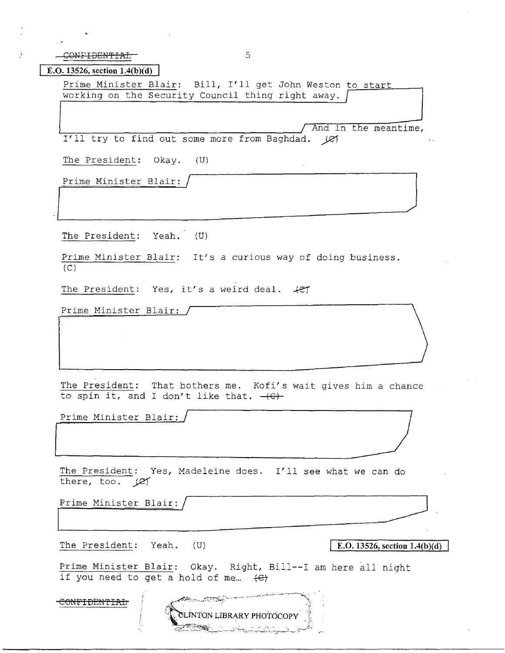CONFIDENTIAL 5

**E.O. 13526, section 1.4(b)(d)** 

Prime Minister Blair: Bill, I'll get John Weston to start working on the Security Council thing right away.

And in the meantime, I'll try to find out some more from Baghdad.  $\chi$ 

The President: Okay. (U)

Prime Minister Blair,  $/$   $/$ 

The President: Yeah. (U) The President: Okay. (0)<br>Prime Minister Blair: /<br>The President: Yeah. (U)

Prime Minister Blair: It's a curious way of doing business.  $(C)$ 

The President: Yes, it's a weird deal.  $#e$ 

Prime Minister Blair:

The President: That bothers me. Kofi's wait gives him a chance<br>to spin it, and I don't like that. <del>(C)</del><br>Prime Minister Blair: to spin it, and I don't like that.  $-\left(\frac{C}{C}\right)$ Prime Minister Blair:<br>
The President: That bothers me. Kofi's wait gives him a change to spin it, and I don't like that.  $-\left(\frac{C}{C}\right)$ <br>
Prime Minister Blair:<br>
The President: Yes, Madeleine does. I'll see what we can do the

Prime Minister Blair:

The President: Yes, Madeleine does. I'll see what we can do there, too. (e)  $\frac{1}{\sqrt{1-\frac{1}{2}}}\left( \frac{1}{\sqrt{1-\frac{1}{2}}}\right)$ 

'L\_~~~~----------

Prime Minister Blair:

The President: Yeah. (U)

**E.O. 13526, section 1.4(b)(d)** 

Prime Minister Blair: Okay. Right, Bill--I am here all night if you need to get a hold of me...  $\leftarrow$ 

LINTON LIBRARY PHOTOCOPY

CONFIDENTIAL